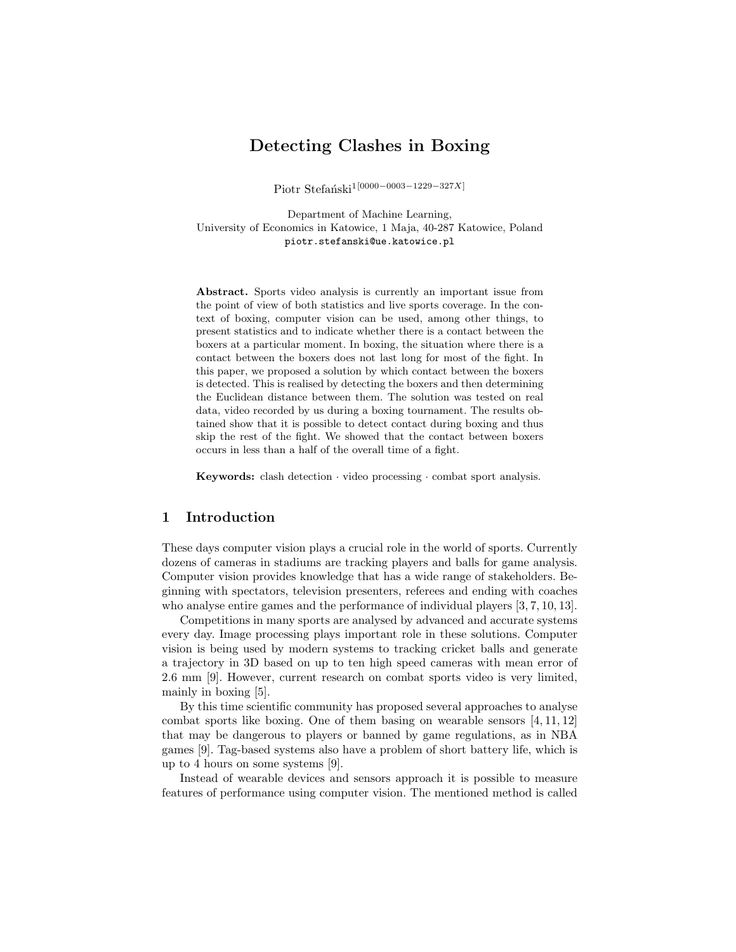# Detecting Clashes in Boxing

Piotr Stefański<sup>1[0000−0003−1229−327X]</sup>

Department of Machine Learning, University of Economics in Katowice, 1 Maja, 40-287 Katowice, Poland piotr.stefanski@ue.katowice.pl

Abstract. Sports video analysis is currently an important issue from the point of view of both statistics and live sports coverage. In the context of boxing, computer vision can be used, among other things, to present statistics and to indicate whether there is a contact between the boxers at a particular moment. In boxing, the situation where there is a contact between the boxers does not last long for most of the fight. In this paper, we proposed a solution by which contact between the boxers is detected. This is realised by detecting the boxers and then determining the Euclidean distance between them. The solution was tested on real data, video recorded by us during a boxing tournament. The results obtained show that it is possible to detect contact during boxing and thus skip the rest of the fight. We showed that the contact between boxers occurs in less than a half of the overall time of a fight.

Keywords: clash detection · video processing · combat sport analysis.

## 1 Introduction

These days computer vision plays a crucial role in the world of sports. Currently dozens of cameras in stadiums are tracking players and balls for game analysis. Computer vision provides knowledge that has a wide range of stakeholders. Beginning with spectators, television presenters, referees and ending with coaches who analyse entire games and the performance of individual players [3, 7, 10, 13].

Competitions in many sports are analysed by advanced and accurate systems every day. Image processing plays important role in these solutions. Computer vision is being used by modern systems to tracking cricket balls and generate a trajectory in 3D based on up to ten high speed cameras with mean error of 2.6 mm [9]. However, current research on combat sports video is very limited, mainly in boxing [5].

By this time scientific community has proposed several approaches to analyse combat sports like boxing. One of them basing on wearable sensors [4, 11, 12] that may be dangerous to players or banned by game regulations, as in NBA games [9]. Tag-based systems also have a problem of short battery life, which is up to 4 hours on some systems [9].

Instead of wearable devices and sensors approach it is possible to measure features of performance using computer vision. The mentioned method is called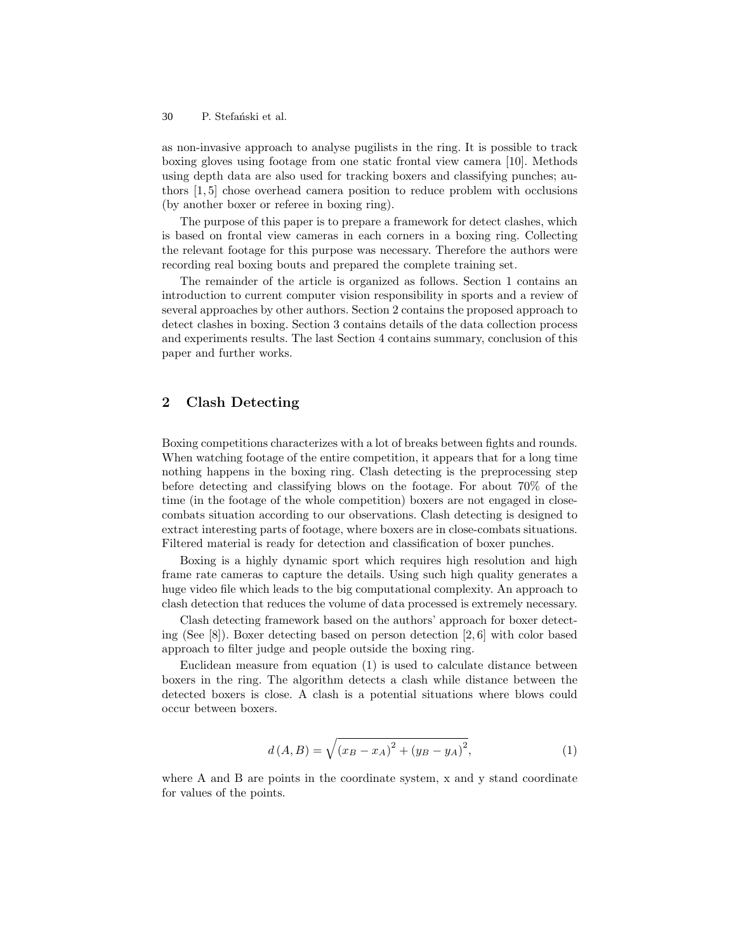P. Stefański et al. 30

as non-invasive approach to analyse pugilists in the ring. It is possible to track boxing gloves using footage from one static frontal view camera [10]. Methods using depth data are also used for tracking boxers and classifying punches; authors [1, 5] chose overhead camera position to reduce problem with occlusions (by another boxer or referee in boxing ring).

The purpose of this paper is to prepare a framework for detect clashes, which is based on frontal view cameras in each corners in a boxing ring. Collecting the relevant footage for this purpose was necessary. Therefore the authors were recording real boxing bouts and prepared the complete training set.

The remainder of the article is organized as follows. Section 1 contains an introduction to current computer vision responsibility in sports and a review of several approaches by other authors. Section 2 contains the proposed approach to detect clashes in boxing. Section 3 contains details of the data collection process and experiments results. The last Section 4 contains summary, conclusion of this paper and further works.

## 2 Clash Detecting

Boxing competitions characterizes with a lot of breaks between fights and rounds. When watching footage of the entire competition, it appears that for a long time nothing happens in the boxing ring. Clash detecting is the preprocessing step before detecting and classifying blows on the footage. For about 70% of the time (in the footage of the whole competition) boxers are not engaged in closecombats situation according to our observations. Clash detecting is designed to extract interesting parts of footage, where boxers are in close-combats situations. Filtered material is ready for detection and classification of boxer punches.

Boxing is a highly dynamic sport which requires high resolution and high frame rate cameras to capture the details. Using such high quality generates a huge video file which leads to the big computational complexity. An approach to clash detection that reduces the volume of data processed is extremely necessary.

Clash detecting framework based on the authors' approach for boxer detecting (See [8]). Boxer detecting based on person detection [2, 6] with color based approach to filter judge and people outside the boxing ring.

Euclidean measure from equation (1) is used to calculate distance between boxers in the ring. The algorithm detects a clash while distance between the detected boxers is close. A clash is a potential situations where blows could occur between boxers.

$$
d(A, B) = \sqrt{(x_B - x_A)^2 + (y_B - y_A)^2},
$$
\n(1)

where A and B are points in the coordinate system, x and y stand coordinate for values of the points.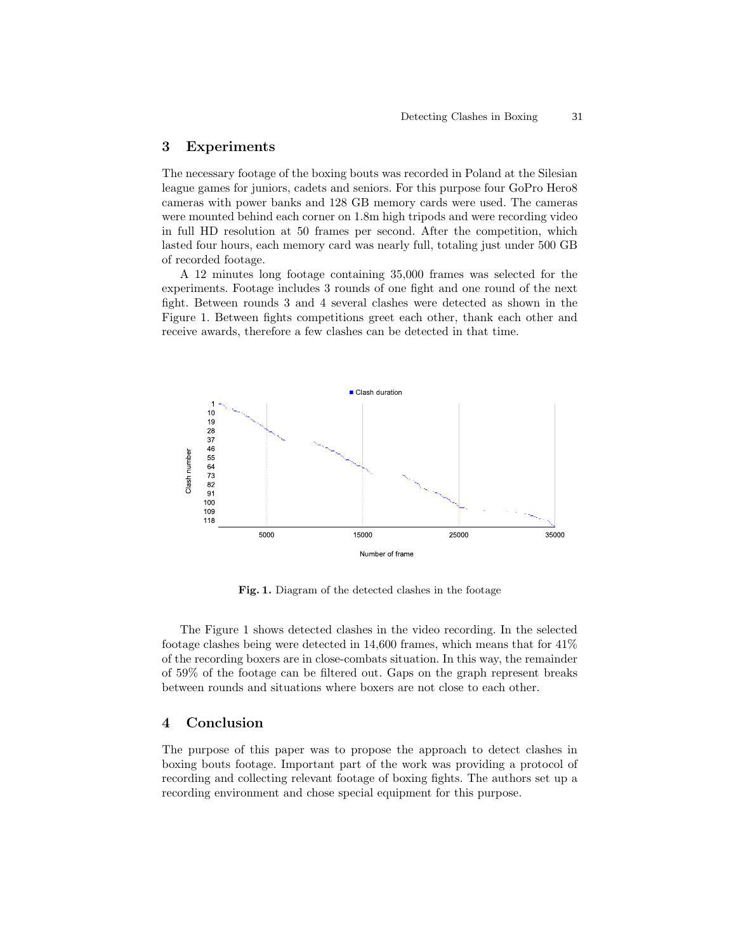# 3 Experiments

The necessary footage of the boxing bouts was recorded in Poland at the Silesian league games for juniors, cadets and seniors. For this purpose four GoPro Hero8 cameras with power banks and 128 GB memory cards were used. The cameras were mounted behind each corner on 1.8m high tripods and were recording video in full HD resolution at 50 frames per second. After the competition, which lasted four hours, each memory card was nearly full, totaling just under 500 GB of recorded footage.

A 12 minutes long footage containing 35,000 frames was selected for the experiments. Footage includes 3 rounds of one fight and one round of the next fight. Between rounds 3 and 4 several clashes were detected as shown in the Figure 1. Between fights competitions greet each other, thank each other and receive awards, therefore a few clashes can be detected in that time.



Fig. 1. Diagram of the detected clashes in the footage

The Figure 1 shows detected clashes in the video recording. In the selected footage clashes being were detected in 14,600 frames, which means that for 41% of the recording boxers are in close-combats situation. In this way, the remainder of 59% of the footage can be filtered out. Gaps on the graph represent breaks between rounds and situations where boxers are not close to each other.

### 4 Conclusion

The purpose of this paper was to propose the approach to detect clashes in boxing bouts footage. Important part of the work was providing a protocol of recording and collecting relevant footage of boxing fights. The authors set up a recording environment and chose special equipment for this purpose.